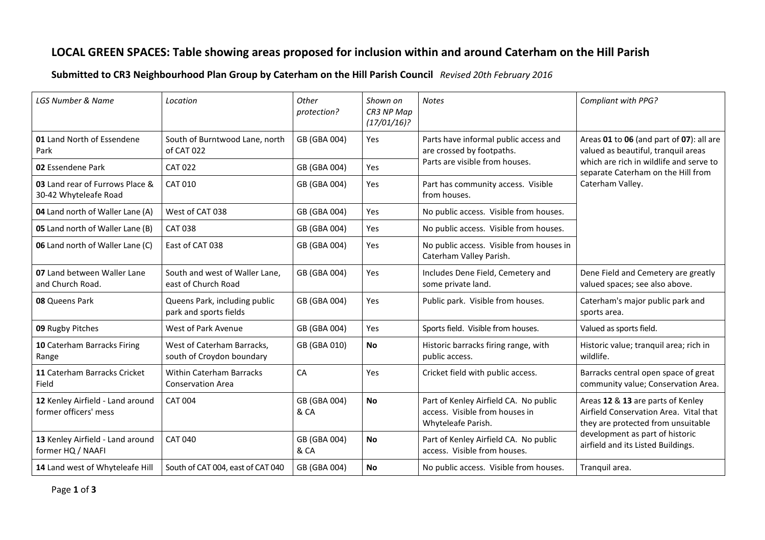## **LOCAL GREEN SPACES: Table showing areas proposed for inclusion within and around Caterham on the Hill Parish**

**Submitted to CR3 Neighbourhood Plan Group by Caterham on the Hill Parish Council** *Revised 20th February 2016* 

| <b>LGS Number &amp; Name</b>                              | Location                                                | Other<br>protection? | Shown on<br>CR3 NP Map<br>(17/01/16)? | <b>Notes</b>                                                                                  | Compliant with PPG?                                                                                                                                                                        |
|-----------------------------------------------------------|---------------------------------------------------------|----------------------|---------------------------------------|-----------------------------------------------------------------------------------------------|--------------------------------------------------------------------------------------------------------------------------------------------------------------------------------------------|
| 01 Land North of Essendene<br>Park                        | South of Burntwood Lane, north<br>of CAT 022            | GB (GBA 004)         | Yes                                   | Parts have informal public access and<br>are crossed by footpaths.                            | Areas 01 to 06 (and part of 07): all are<br>valued as beautiful, tranquil areas<br>which are rich in wildlife and serve to<br>separate Caterham on the Hill from<br>Caterham Valley.       |
| 02 Essendene Park                                         | <b>CAT 022</b>                                          | GB (GBA 004)         | Yes                                   | Parts are visible from houses.                                                                |                                                                                                                                                                                            |
| 03 Land rear of Furrows Place &<br>30-42 Whyteleafe Road  | <b>CAT 010</b>                                          | GB (GBA 004)         | Yes                                   | Part has community access. Visible<br>from houses.                                            |                                                                                                                                                                                            |
| 04 Land north of Waller Lane (A)                          | West of CAT 038                                         | GB (GBA 004)         | Yes                                   | No public access. Visible from houses.                                                        |                                                                                                                                                                                            |
| 05 Land north of Waller Lane (B)                          | <b>CAT 038</b>                                          | GB (GBA 004)         | Yes                                   | No public access. Visible from houses.                                                        |                                                                                                                                                                                            |
| 06 Land north of Waller Lane (C)                          | East of CAT 038                                         | GB (GBA 004)         | Yes                                   | No public access. Visible from houses in<br>Caterham Valley Parish.                           |                                                                                                                                                                                            |
| 07 Land between Waller Lane<br>and Church Road.           | South and west of Waller Lane,<br>east of Church Road   | GB (GBA 004)         | Yes                                   | Includes Dene Field, Cemetery and<br>some private land.                                       | Dene Field and Cemetery are greatly<br>valued spaces; see also above.                                                                                                                      |
| 08 Queens Park                                            | Queens Park, including public<br>park and sports fields | GB (GBA 004)         | Yes                                   | Public park. Visible from houses.                                                             | Caterham's major public park and<br>sports area.                                                                                                                                           |
| 09 Rugby Pitches                                          | West of Park Avenue                                     | GB (GBA 004)         | Yes                                   | Sports field. Visible from houses.                                                            | Valued as sports field.                                                                                                                                                                    |
| 10 Caterham Barracks Firing<br>Range                      | West of Caterham Barracks,<br>south of Croydon boundary | GB (GBA 010)         | <b>No</b>                             | Historic barracks firing range, with<br>public access.                                        | Historic value; tranquil area; rich in<br>wildlife.                                                                                                                                        |
| 11 Caterham Barracks Cricket<br>Field                     | Within Caterham Barracks<br><b>Conservation Area</b>    | CA                   | Yes                                   | Cricket field with public access.                                                             | Barracks central open space of great<br>community value; Conservation Area.                                                                                                                |
| 12 Kenley Airfield - Land around<br>former officers' mess | <b>CAT 004</b>                                          | GB (GBA 004)<br>& CA | <b>No</b>                             | Part of Kenley Airfield CA. No public<br>access. Visible from houses in<br>Whyteleafe Parish. | Areas 12 & 13 are parts of Kenley<br>Airfield Conservation Area. Vital that<br>they are protected from unsuitable<br>development as part of historic<br>airfield and its Listed Buildings. |
| 13 Kenley Airfield - Land around<br>former HQ / NAAFI     | <b>CAT 040</b>                                          | GB (GBA 004)<br>& CA | <b>No</b>                             | Part of Kenley Airfield CA. No public<br>access. Visible from houses.                         |                                                                                                                                                                                            |
| 14 Land west of Whyteleafe Hill                           | South of CAT 004, east of CAT 040                       | GB (GBA 004)         | <b>No</b>                             | No public access. Visible from houses.                                                        | Tranquil area.                                                                                                                                                                             |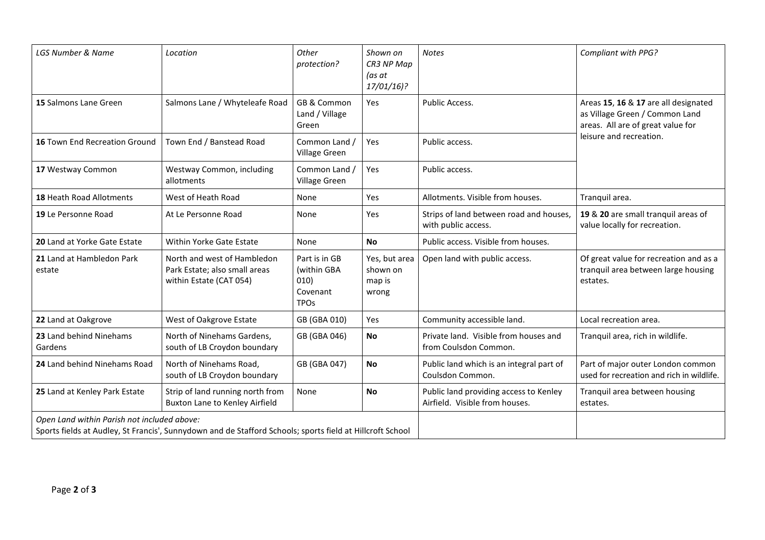| <b>LGS Number &amp; Name</b>                | Location                                                                                                  | Other<br>protection?                                            | Shown on<br>CR3 NP Map<br>(as at<br>$17/01/16$ ? | <b>Notes</b>                                                             | Compliant with PPG?                                                                                                                    |
|---------------------------------------------|-----------------------------------------------------------------------------------------------------------|-----------------------------------------------------------------|--------------------------------------------------|--------------------------------------------------------------------------|----------------------------------------------------------------------------------------------------------------------------------------|
| 15 Salmons Lane Green                       | Salmons Lane / Whyteleafe Road                                                                            | GB & Common<br>Land / Village<br>Green                          | Yes                                              | Public Access.                                                           | Areas 15, 16 & 17 are all designated<br>as Village Green / Common Land<br>areas. All are of great value for<br>leisure and recreation. |
| 16 Town End Recreation Ground               | Town End / Banstead Road                                                                                  | Common Land /<br>Village Green                                  | Yes                                              | Public access.                                                           |                                                                                                                                        |
| 17 Westway Common                           | Westway Common, including<br>allotments                                                                   | Common Land /<br>Village Green                                  | Yes                                              | Public access.                                                           |                                                                                                                                        |
| 18 Heath Road Allotments                    | West of Heath Road                                                                                        | None                                                            | Yes                                              | Allotments. Visible from houses.                                         | Tranquil area.                                                                                                                         |
| 19 Le Personne Road                         | At Le Personne Road                                                                                       | None                                                            | Yes                                              | Strips of land between road and houses,<br>with public access.           | 19 & 20 are small tranquil areas of<br>value locally for recreation.                                                                   |
| 20 Land at Yorke Gate Estate                | Within Yorke Gate Estate                                                                                  | None                                                            | <b>No</b>                                        | Public access. Visible from houses.                                      |                                                                                                                                        |
| 21 Land at Hambledon Park<br>estate         | North and west of Hambledon<br>Park Estate; also small areas<br>within Estate (CAT 054)                   | Part is in GB<br>(within GBA<br>010)<br>Covenant<br><b>TPOs</b> | Yes, but area<br>shown on<br>map is<br>wrong     | Open land with public access.                                            | Of great value for recreation and as a<br>tranquil area between large housing<br>estates.                                              |
| 22 Land at Oakgrove                         | West of Oakgrove Estate                                                                                   | GB (GBA 010)                                                    | Yes                                              | Community accessible land.                                               | Local recreation area.                                                                                                                 |
| 23 Land behind Ninehams<br>Gardens          | North of Ninehams Gardens,<br>south of LB Croydon boundary                                                | GB (GBA 046)                                                    | <b>No</b>                                        | Private land. Visible from houses and<br>from Coulsdon Common.           | Tranquil area, rich in wildlife.                                                                                                       |
| 24 Land behind Ninehams Road                | North of Ninehams Road,<br>south of LB Croydon boundary                                                   | GB (GBA 047)                                                    | <b>No</b>                                        | Public land which is an integral part of<br>Coulsdon Common.             | Part of major outer London common<br>used for recreation and rich in wildlife.                                                         |
| 25 Land at Kenley Park Estate               | Strip of land running north from<br>Buxton Lane to Kenley Airfield                                        | None                                                            | <b>No</b>                                        | Public land providing access to Kenley<br>Airfield. Visible from houses. | Tranquil area between housing<br>estates.                                                                                              |
| Open Land within Parish not included above: | Sports fields at Audley, St Francis', Sunnydown and de Stafford Schools; sports field at Hillcroft School |                                                                 |                                                  |                                                                          |                                                                                                                                        |